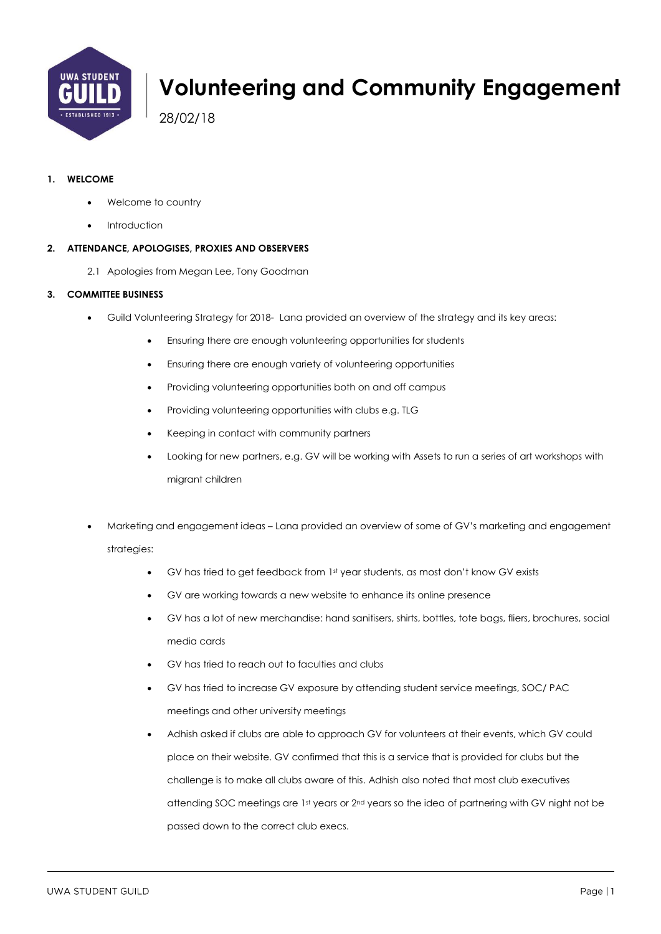

# **Volunteering and Community Engagement**

28/02/18

#### **1. WELCOME**

- Welcome to country
- **Introduction**

#### **2. ATTENDANCE, APOLOGISES, PROXIES AND OBSERVERS**

2.1 Apologies from Megan Lee, Tony Goodman

#### **3. COMMITTEE BUSINESS**

- Guild Volunteering Strategy for 2018- Lana provided an overview of the strategy and its key areas:
	- Ensuring there are enough volunteering opportunities for students
	- Ensuring there are enough variety of volunteering opportunities
	- Providing volunteering opportunities both on and off campus
	- Providing volunteering opportunities with clubs e.g. TLG
	- Keeping in contact with community partners
	- Looking for new partners, e.g. GV will be working with Assets to run a series of art workshops with migrant children
- Marketing and engagement ideas Lana provided an overview of some of GV's marketing and engagement strategies:
	- GV has tried to get feedback from 1st year students, as most don't know GV exists
	- GV are working towards a new website to enhance its online presence
	- GV has a lot of new merchandise: hand sanitisers, shirts, bottles, tote bags, fliers, brochures, social media cards
	- GV has tried to reach out to faculties and clubs
	- GV has tried to increase GV exposure by attending student service meetings, SOC/ PAC meetings and other university meetings
	- Adhish asked if clubs are able to approach GV for volunteers at their events, which GV could place on their website. GV confirmed that this is a service that is provided for clubs but the challenge is to make all clubs aware of this. Adhish also noted that most club executives attending SOC meetings are 1st years or 2nd years so the idea of partnering with GV night not be passed down to the correct club execs.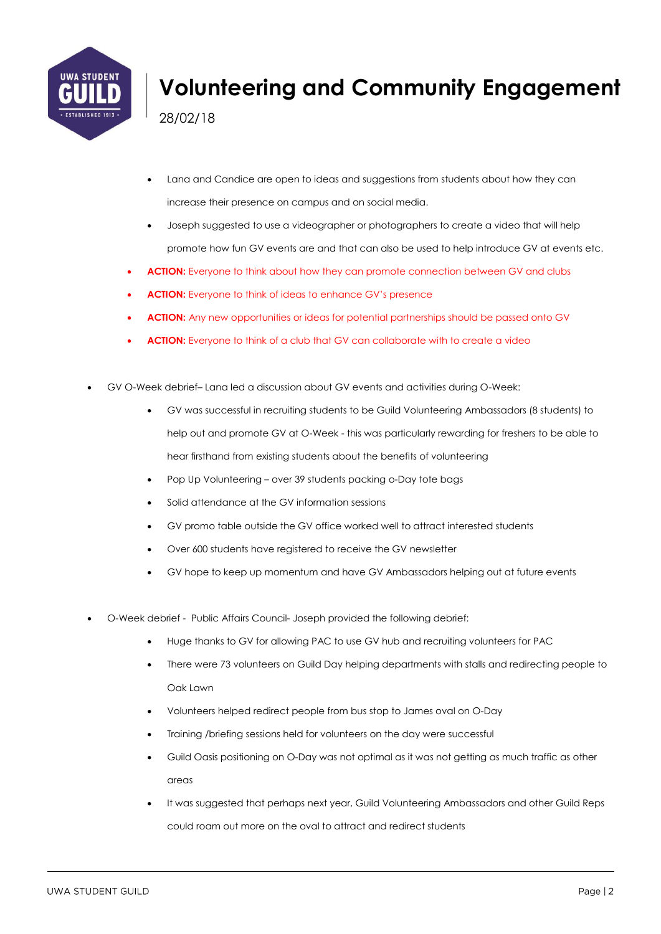

# **Volunteering and Community Engagement**

28/02/18

- Lana and Candice are open to ideas and suggestions from students about how they can increase their presence on campus and on social media.
- Joseph suggested to use a videographer or photographers to create a video that will help promote how fun GV events are and that can also be used to help introduce GV at events etc.
- **ACTION:** Everyone to think about how they can promote connection between GV and clubs
- **ACTION:** Everyone to think of ideas to enhance GV's presence
- **ACTION:** Any new opportunities or ideas for potential partnerships should be passed onto GV
- **ACTION:** Everyone to think of a club that GV can collaborate with to create a video
- GV O-Week debrief– Lana led a discussion about GV events and activities during O-Week:
	- GV was successful in recruiting students to be Guild Volunteering Ambassadors (8 students) to help out and promote GV at O-Week - this was particularly rewarding for freshers to be able to hear firsthand from existing students about the benefits of volunteering
	- Pop Up Volunteering over 39 students packing o-Day tote bags
	- Solid attendance at the GV information sessions
	- GV promo table outside the GV office worked well to attract interested students
	- Over 600 students have registered to receive the GV newsletter
	- GV hope to keep up momentum and have GV Ambassadors helping out at future events
- O-Week debrief Public Affairs Council- Joseph provided the following debrief:
	- Huge thanks to GV for allowing PAC to use GV hub and recruiting volunteers for PAC
	- There were 73 volunteers on Guild Day helping departments with stalls and redirecting people to Oak Lawn
	- Volunteers helped redirect people from bus stop to James oval on O-Day
	- Training /briefing sessions held for volunteers on the day were successful
	- Guild Oasis positioning on O-Day was not optimal as it was not getting as much traffic as other areas
	- It was suggested that perhaps next year, Guild Volunteering Ambassadors and other Guild Reps could roam out more on the oval to attract and redirect students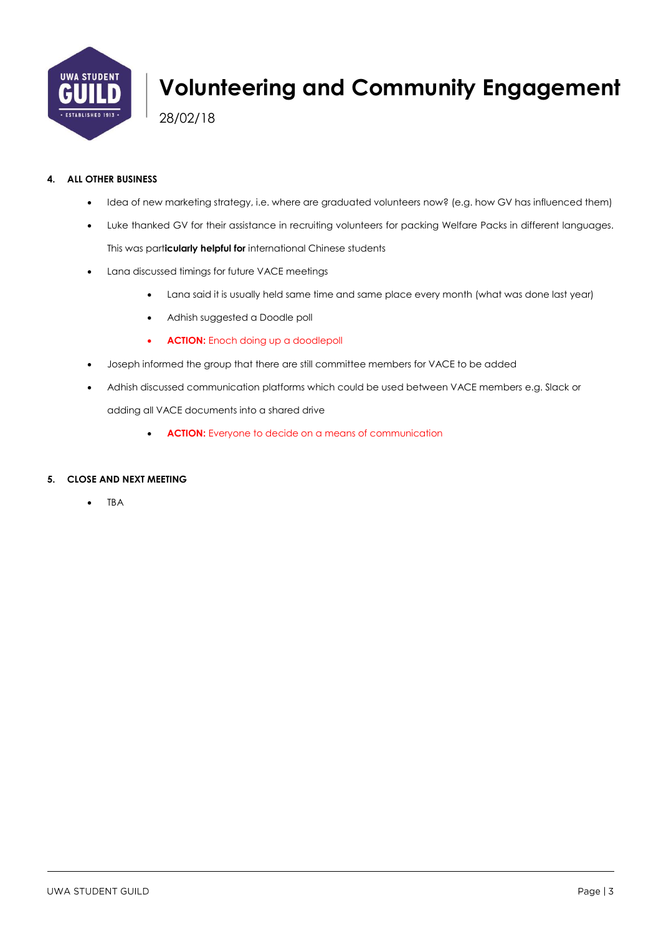

# **Volunteering and Community Engagement**

28/02/18

#### **4. ALL OTHER BUSINESS**

- Idea of new marketing strategy, i.e. where are graduated volunteers now? (e.g. how GV has influenced them)
- Luke thanked GV for their assistance in recruiting volunteers for packing Welfare Packs in different languages. This was part**icularly helpful for** international Chinese students
- Lana discussed timings for future VACE meetings
	- Lana said it is usually held same time and same place every month (what was done last year)
	- Adhish suggested a Doodle poll
	- **ACTION:** Enoch doing up a doodlepoll
- Joseph informed the group that there are still committee members for VACE to be added
- Adhish discussed communication platforms which could be used between VACE members e.g. Slack or adding all VACE documents into a shared drive
	- **ACTION:** Everyone to decide on a means of communication

#### **5. CLOSE AND NEXT MEETING**

• TBA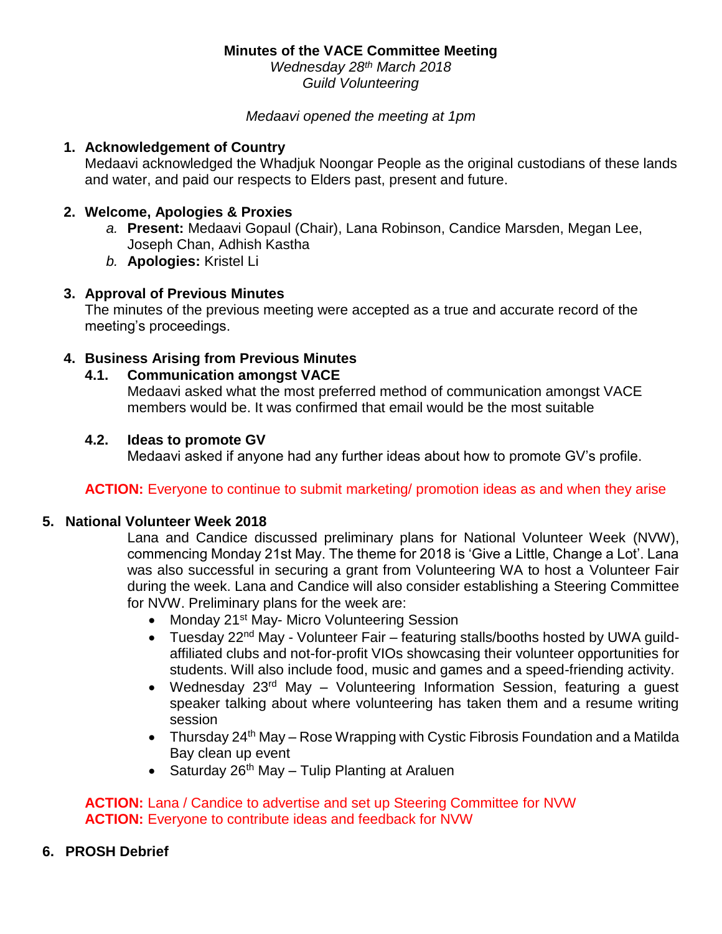*Wednesday 28th March 2018 Guild Volunteering*

*Medaavi opened the meeting at 1pm* 

#### **1. Acknowledgement of Country**

Medaavi acknowledged the Whadjuk Noongar People as the original custodians of these lands and water, and paid our respects to Elders past, present and future.

# **2. Welcome, Apologies & Proxies**

- *a.* **Present:** Medaavi Gopaul (Chair), Lana Robinson, Candice Marsden, Megan Lee, Joseph Chan, Adhish Kastha
- *b.* **Apologies:** Kristel Li

## **3. Approval of Previous Minutes**

The minutes of the previous meeting were accepted as a true and accurate record of the meeting's proceedings.

# **4. Business Arising from Previous Minutes**

## **4.1. Communication amongst VACE**

Medaavi asked what the most preferred method of communication amongst VACE members would be. It was confirmed that email would be the most suitable

## **4.2. Ideas to promote GV**

Medaavi asked if anyone had any further ideas about how to promote GV's profile.

## **ACTION:** Everyone to continue to submit marketing/ promotion ideas as and when they arise

## **5. National Volunteer Week 2018**

Lana and Candice discussed preliminary plans for National Volunteer Week (NVW), commencing Monday 21st May. The theme for 2018 is 'Give a Little, Change a Lot'. Lana was also successful in securing a grant from Volunteering WA to host a Volunteer Fair during the week. Lana and Candice will also consider establishing a Steering Committee for NVW. Preliminary plans for the week are:

- Monday 21<sup>st</sup> May- Micro Volunteering Session
- Tuesday 22<sup>nd</sup> May Volunteer Fair featuring stalls/booths hosted by UWA guildaffiliated clubs and not-for-profit VIOs showcasing their volunteer opportunities for students. Will also include food, music and games and a speed-friending activity.
- Wednesday 23<sup>rd</sup> May Volunteering Information Session, featuring a guest speaker talking about where volunteering has taken them and a resume writing session
- Thursday  $24<sup>th</sup>$  May Rose Wrapping with Cystic Fibrosis Foundation and a Matilda Bay clean up event
- Saturday 26<sup>th</sup> May Tulip Planting at Araluen

# **ACTION:** Lana / Candice to advertise and set up Steering Committee for NVW **ACTION:** Everyone to contribute ideas and feedback for NVW

## **6. PROSH Debrief**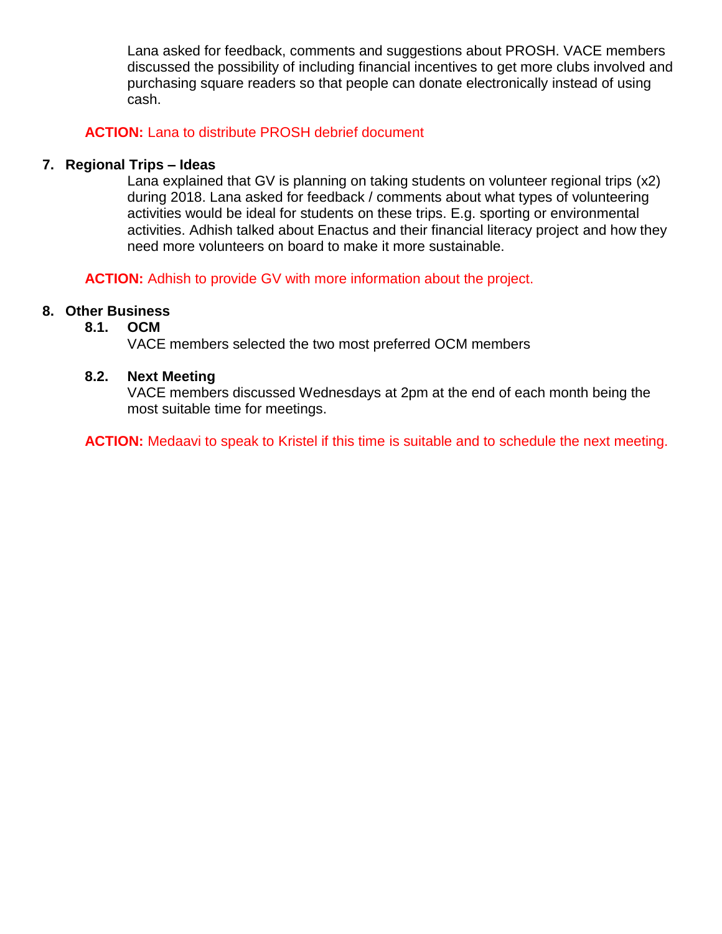Lana asked for feedback, comments and suggestions about PROSH. VACE members discussed the possibility of including financial incentives to get more clubs involved and purchasing square readers so that people can donate electronically instead of using cash.

# **ACTION:** Lana to distribute PROSH debrief document

# **7. Regional Trips – Ideas**

Lana explained that GV is planning on taking students on volunteer regional trips (x2) during 2018. Lana asked for feedback / comments about what types of volunteering activities would be ideal for students on these trips. E.g. sporting or environmental activities. Adhish talked about Enactus and their financial literacy project and how they need more volunteers on board to make it more sustainable.

**ACTION:** Adhish to provide GV with more information about the project.

# **8. Other Business**

## **8.1. OCM**

VACE members selected the two most preferred OCM members

#### **8.2. Next Meeting**

VACE members discussed Wednesdays at 2pm at the end of each month being the most suitable time for meetings.

ACTION: Medaavi to speak to Kristel if this time is suitable and to schedule the next meeting.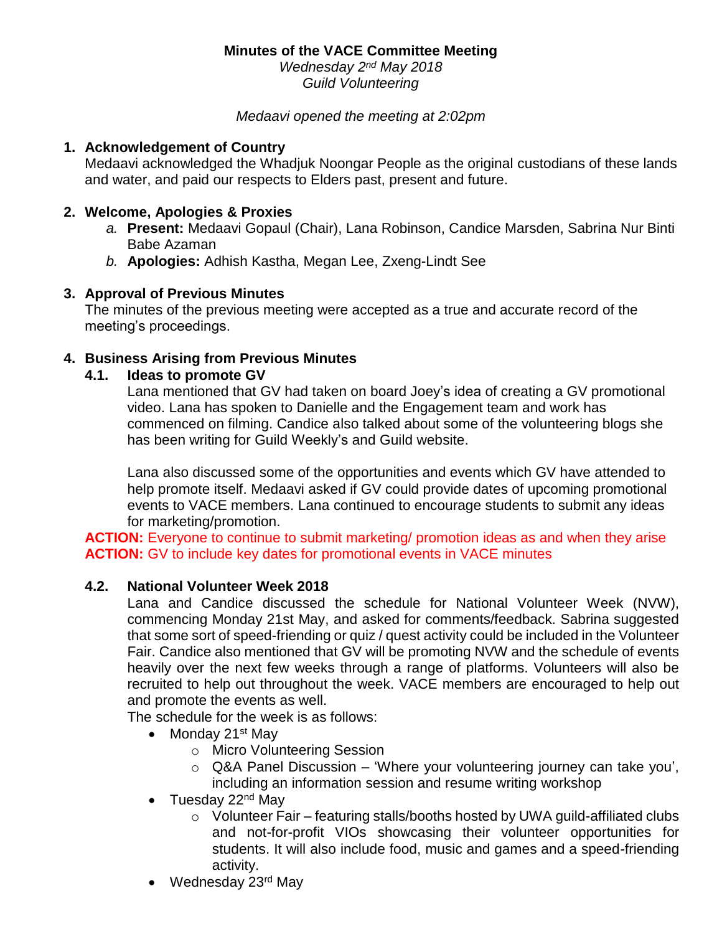*Wednesday 2 nd May 2018 Guild Volunteering*

*Medaavi opened the meeting at 2:02pm* 

# **1. Acknowledgement of Country**

Medaavi acknowledged the Whadjuk Noongar People as the original custodians of these lands and water, and paid our respects to Elders past, present and future.

# **2. Welcome, Apologies & Proxies**

- *a.* **Present:** Medaavi Gopaul (Chair), Lana Robinson, Candice Marsden, Sabrina Nur Binti Babe Azaman
- *b.* **Apologies:** Adhish Kastha, Megan Lee, Zxeng-Lindt See

# **3. Approval of Previous Minutes**

The minutes of the previous meeting were accepted as a true and accurate record of the meeting's proceedings.

# **4. Business Arising from Previous Minutes**

# **4.1. Ideas to promote GV**

Lana mentioned that GV had taken on board Joey's idea of creating a GV promotional video. Lana has spoken to Danielle and the Engagement team and work has commenced on filming. Candice also talked about some of the volunteering blogs she has been writing for Guild Weekly's and Guild website.

Lana also discussed some of the opportunities and events which GV have attended to help promote itself. Medaavi asked if GV could provide dates of upcoming promotional events to VACE members. Lana continued to encourage students to submit any ideas for marketing/promotion.

**ACTION:** Everyone to continue to submit marketing/ promotion ideas as and when they arise **ACTION:** GV to include key dates for promotional events in VACE minutes

## **4.2. National Volunteer Week 2018**

Lana and Candice discussed the schedule for National Volunteer Week (NVW), commencing Monday 21st May, and asked for comments/feedback. Sabrina suggested that some sort of speed-friending or quiz / quest activity could be included in the Volunteer Fair. Candice also mentioned that GV will be promoting NVW and the schedule of events heavily over the next few weeks through a range of platforms. Volunteers will also be recruited to help out throughout the week. VACE members are encouraged to help out and promote the events as well.

The schedule for the week is as follows:

- Monday 21<sup>st</sup> May
	- o Micro Volunteering Session
	- $\circ$  Q&A Panel Discussion 'Where your volunteering journey can take you', including an information session and resume writing workshop
- Tuesday  $22<sup>nd</sup>$  May
	- o Volunteer Fair featuring stalls/booths hosted by UWA guild-affiliated clubs and not-for-profit VIOs showcasing their volunteer opportunities for students. It will also include food, music and games and a speed-friending activity.
- Wednesday 23<sup>rd</sup> May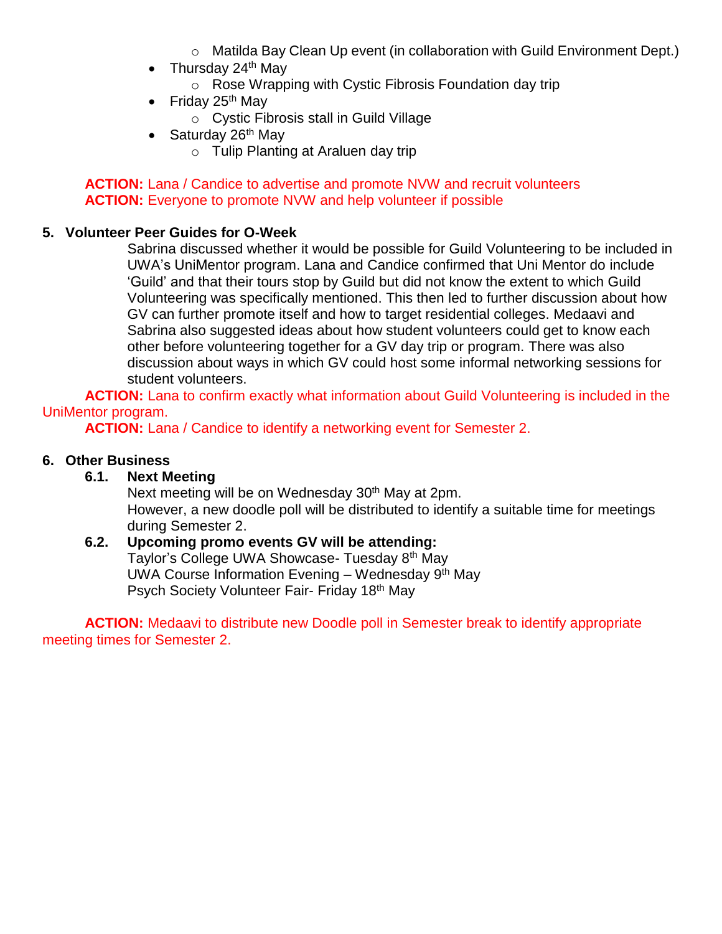- o Matilda Bay Clean Up event (in collaboration with Guild Environment Dept.)
- Thursday 24<sup>th</sup> May
	- o Rose Wrapping with Cystic Fibrosis Foundation day trip
- Friday 25<sup>th</sup> May
	- o Cystic Fibrosis stall in Guild Village
- Saturday 26<sup>th</sup> May
	- o Tulip Planting at Araluen day trip

# **ACTION:** Lana / Candice to advertise and promote NVW and recruit volunteers **ACTION:** Everyone to promote NVW and help volunteer if possible

# **5. Volunteer Peer Guides for O-Week**

Sabrina discussed whether it would be possible for Guild Volunteering to be included in UWA's UniMentor program. Lana and Candice confirmed that Uni Mentor do include 'Guild' and that their tours stop by Guild but did not know the extent to which Guild Volunteering was specifically mentioned. This then led to further discussion about how GV can further promote itself and how to target residential colleges. Medaavi and Sabrina also suggested ideas about how student volunteers could get to know each other before volunteering together for a GV day trip or program. There was also discussion about ways in which GV could host some informal networking sessions for student volunteers.

**ACTION:** Lana to confirm exactly what information about Guild Volunteering is included in the UniMentor program.

**ACTION:** Lana / Candice to identify a networking event for Semester 2.

# **6. Other Business**

# **6.1. Next Meeting**

Next meeting will be on Wednesday 30<sup>th</sup> May at 2pm. However, a new doodle poll will be distributed to identify a suitable time for meetings during Semester 2.

#### **6.2. Upcoming promo events GV will be attending:**  Taylor's College UWA Showcase- Tuesday 8th May UWA Course Information Evening – Wednesday  $9<sup>th</sup>$  May

Psych Society Volunteer Fair- Friday 18th May

**ACTION:** Medaavi to distribute new Doodle poll in Semester break to identify appropriate meeting times for Semester 2.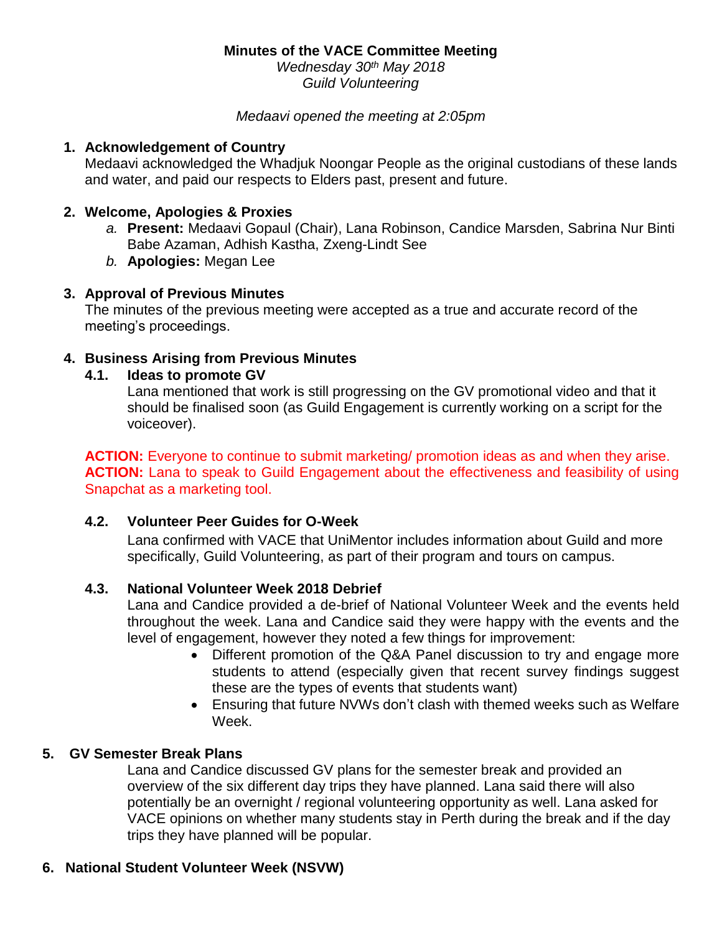*Wednesday 30th May 2018 Guild Volunteering*

#### *Medaavi opened the meeting at 2:05pm*

#### **1. Acknowledgement of Country**

Medaavi acknowledged the Whadjuk Noongar People as the original custodians of these lands and water, and paid our respects to Elders past, present and future.

#### **2. Welcome, Apologies & Proxies**

- *a.* **Present:** Medaavi Gopaul (Chair), Lana Robinson, Candice Marsden, Sabrina Nur Binti Babe Azaman, Adhish Kastha, Zxeng-Lindt See
- *b.* **Apologies:** Megan Lee

#### **3. Approval of Previous Minutes**

The minutes of the previous meeting were accepted as a true and accurate record of the meeting's proceedings.

#### **4. Business Arising from Previous Minutes**

#### **4.1. Ideas to promote GV**

Lana mentioned that work is still progressing on the GV promotional video and that it should be finalised soon (as Guild Engagement is currently working on a script for the voiceover).

**ACTION:** Everyone to continue to submit marketing/ promotion ideas as and when they arise. **ACTION:** Lana to speak to Guild Engagement about the effectiveness and feasibility of using Snapchat as a marketing tool.

#### **4.2. Volunteer Peer Guides for O-Week**

Lana confirmed with VACE that UniMentor includes information about Guild and more specifically, Guild Volunteering, as part of their program and tours on campus.

## **4.3. National Volunteer Week 2018 Debrief**

Lana and Candice provided a de-brief of National Volunteer Week and the events held throughout the week. Lana and Candice said they were happy with the events and the level of engagement, however they noted a few things for improvement:

- Different promotion of the Q&A Panel discussion to try and engage more students to attend (especially given that recent survey findings suggest these are the types of events that students want)
- Ensuring that future NVWs don't clash with themed weeks such as Welfare Week.

## **5. GV Semester Break Plans**

Lana and Candice discussed GV plans for the semester break and provided an overview of the six different day trips they have planned. Lana said there will also potentially be an overnight / regional volunteering opportunity as well. Lana asked for VACE opinions on whether many students stay in Perth during the break and if the day trips they have planned will be popular.

## **6. National Student Volunteer Week (NSVW)**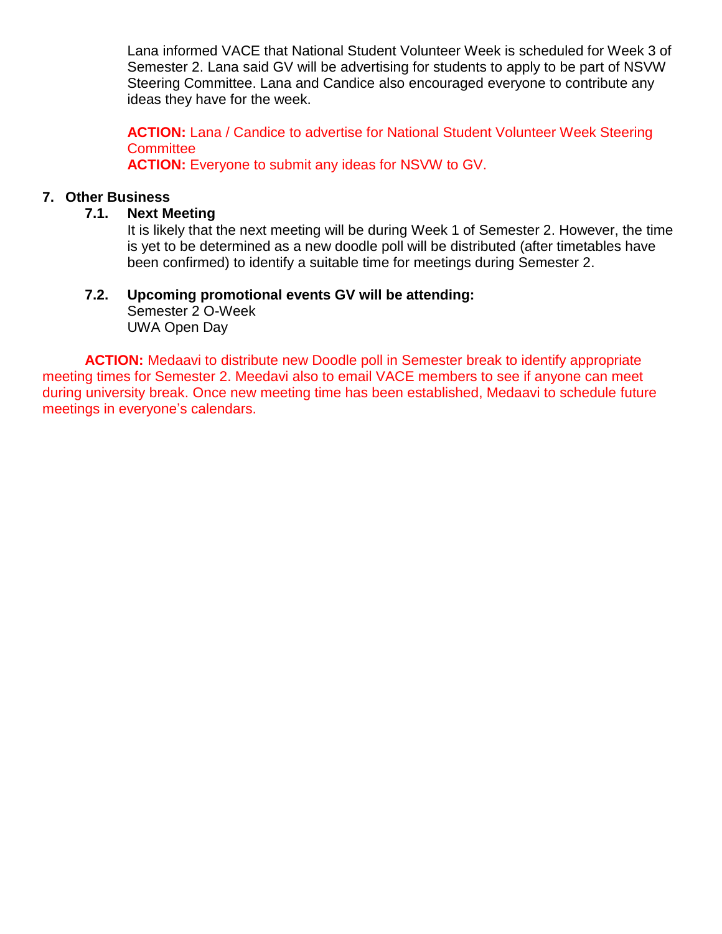Lana informed VACE that National Student Volunteer Week is scheduled for Week 3 of Semester 2. Lana said GV will be advertising for students to apply to be part of NSVW Steering Committee. Lana and Candice also encouraged everyone to contribute any ideas they have for the week.

**ACTION:** Lana / Candice to advertise for National Student Volunteer Week Steering **Committee** 

**ACTION:** Everyone to submit any ideas for NSVW to GV.

# **7. Other Business**

# **7.1. Next Meeting**

It is likely that the next meeting will be during Week 1 of Semester 2. However, the time is yet to be determined as a new doodle poll will be distributed (after timetables have been confirmed) to identify a suitable time for meetings during Semester 2.

# **7.2. Upcoming promotional events GV will be attending:**

Semester 2 O-Week UWA Open Day

**ACTION:** Medaavi to distribute new Doodle poll in Semester break to identify appropriate meeting times for Semester 2. Meedavi also to email VACE members to see if anyone can meet during university break. Once new meeting time has been established, Medaavi to schedule future meetings in everyone's calendars.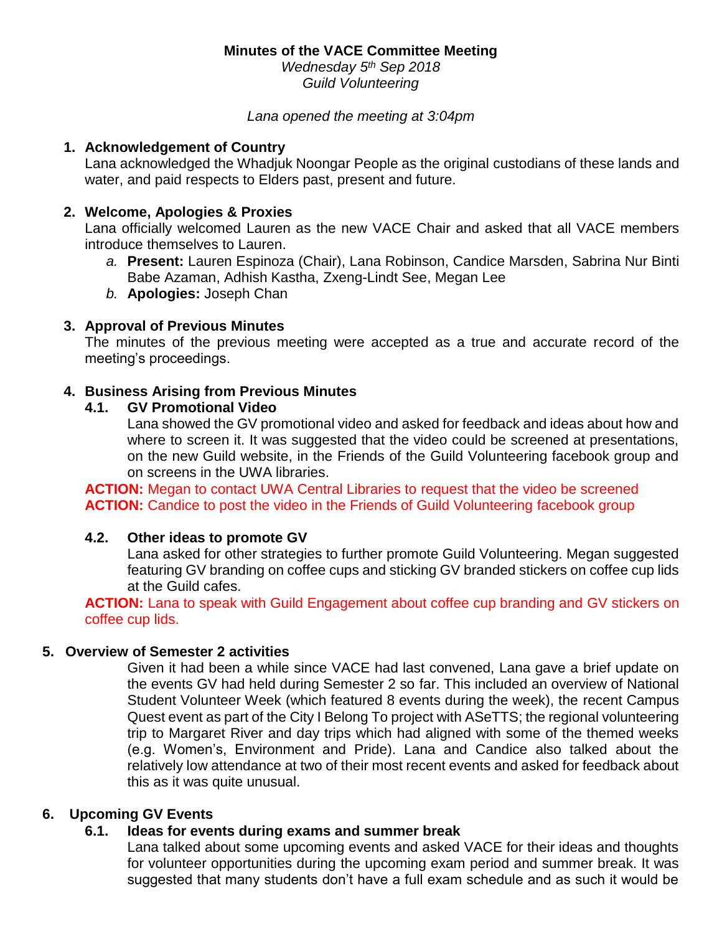*Wednesday 5 th Sep 2018 Guild Volunteering*

*Lana opened the meeting at 3:04pm* 

#### **1. Acknowledgement of Country**

Lana acknowledged the Whadjuk Noongar People as the original custodians of these lands and water, and paid respects to Elders past, present and future.

# **2. Welcome, Apologies & Proxies**

Lana officially welcomed Lauren as the new VACE Chair and asked that all VACE members introduce themselves to Lauren.

- *a.* **Present:** Lauren Espinoza (Chair), Lana Robinson, Candice Marsden, Sabrina Nur Binti Babe Azaman, Adhish Kastha, Zxeng-Lindt See, Megan Lee
- *b.* **Apologies:** Joseph Chan

# **3. Approval of Previous Minutes**

The minutes of the previous meeting were accepted as a true and accurate record of the meeting's proceedings.

## **4. Business Arising from Previous Minutes**

# **4.1. GV Promotional Video**

Lana showed the GV promotional video and asked for feedback and ideas about how and where to screen it. It was suggested that the video could be screened at presentations, on the new Guild website, in the Friends of the Guild Volunteering facebook group and on screens in the UWA libraries.

**ACTION:** Megan to contact UWA Central Libraries to request that the video be screened **ACTION:** Candice to post the video in the Friends of Guild Volunteering facebook group

## **4.2. Other ideas to promote GV**

Lana asked for other strategies to further promote Guild Volunteering. Megan suggested featuring GV branding on coffee cups and sticking GV branded stickers on coffee cup lids at the Guild cafes.

**ACTION:** Lana to speak with Guild Engagement about coffee cup branding and GV stickers on coffee cup lids.

## **5. Overview of Semester 2 activities**

Given it had been a while since VACE had last convened, Lana gave a brief update on the events GV had held during Semester 2 so far. This included an overview of National Student Volunteer Week (which featured 8 events during the week), the recent Campus Quest event as part of the City I Belong To project with ASeTTS; the regional volunteering trip to Margaret River and day trips which had aligned with some of the themed weeks (e.g. Women's, Environment and Pride). Lana and Candice also talked about the relatively low attendance at two of their most recent events and asked for feedback about this as it was quite unusual.

## **6. Upcoming GV Events**

# **6.1. Ideas for events during exams and summer break**

Lana talked about some upcoming events and asked VACE for their ideas and thoughts for volunteer opportunities during the upcoming exam period and summer break. It was suggested that many students don't have a full exam schedule and as such it would be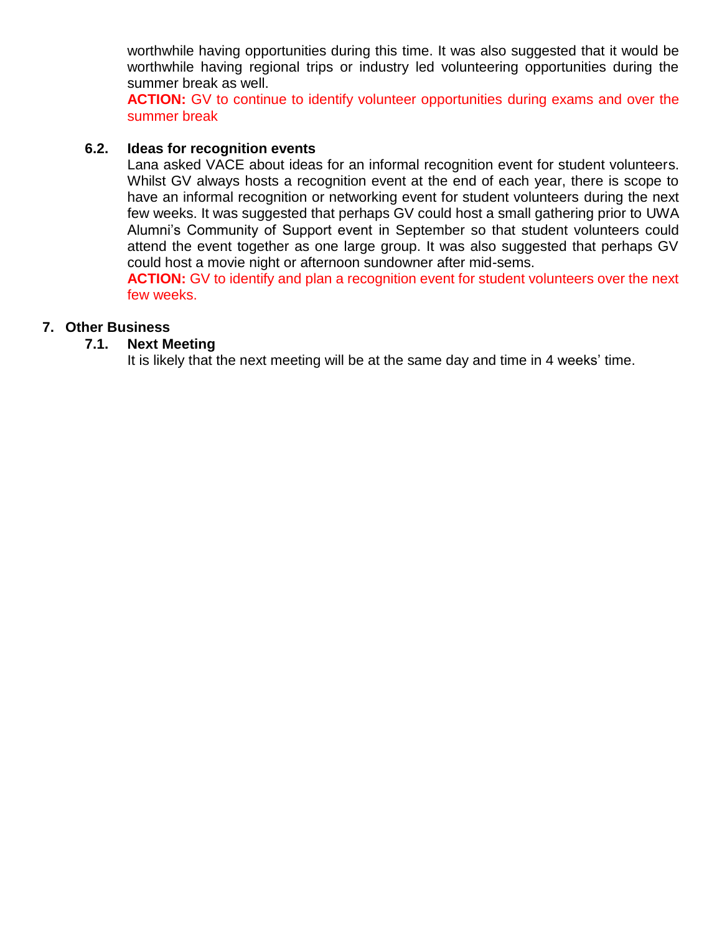worthwhile having opportunities during this time. It was also suggested that it would be worthwhile having regional trips or industry led volunteering opportunities during the summer break as well.

**ACTION:** GV to continue to identify volunteer opportunities during exams and over the summer break

# **6.2. Ideas for recognition events**

Lana asked VACE about ideas for an informal recognition event for student volunteers. Whilst GV always hosts a recognition event at the end of each year, there is scope to have an informal recognition or networking event for student volunteers during the next few weeks. It was suggested that perhaps GV could host a small gathering prior to UWA Alumni's Community of Support event in September so that student volunteers could attend the event together as one large group. It was also suggested that perhaps GV could host a movie night or afternoon sundowner after mid-sems.

**ACTION:** GV to identify and plan a recognition event for student volunteers over the next few weeks.

# **7. Other Business**

## **7.1. Next Meeting**

It is likely that the next meeting will be at the same day and time in 4 weeks' time.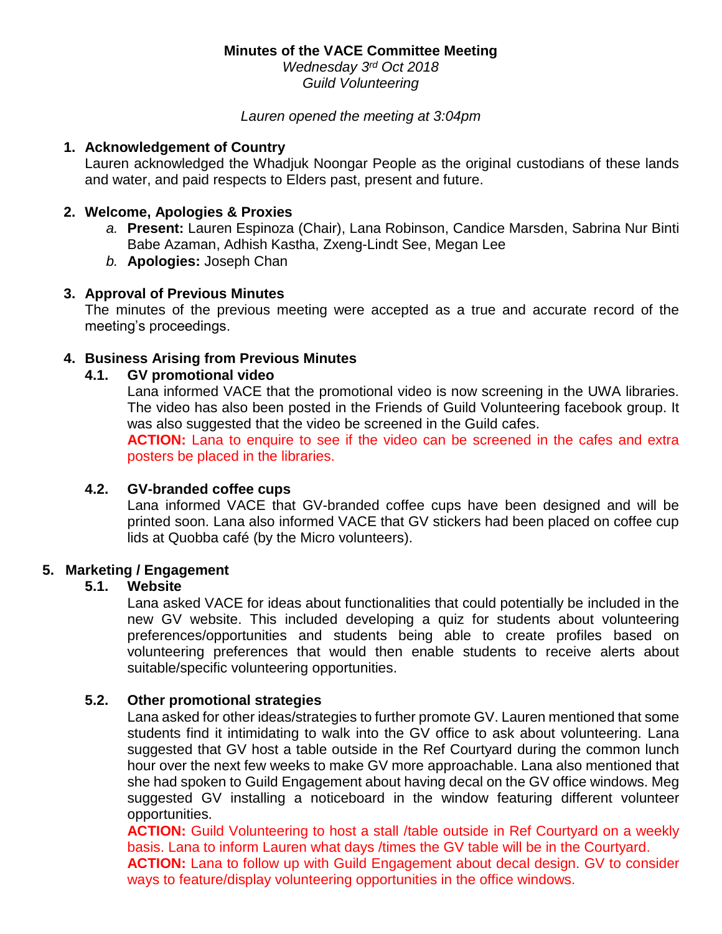*Wednesday 3 rd Oct 2018 Guild Volunteering*

#### *Lauren opened the meeting at 3:04pm*

#### **1. Acknowledgement of Country**

Lauren acknowledged the Whadjuk Noongar People as the original custodians of these lands and water, and paid respects to Elders past, present and future.

#### **2. Welcome, Apologies & Proxies**

- *a.* **Present:** Lauren Espinoza (Chair), Lana Robinson, Candice Marsden, Sabrina Nur Binti Babe Azaman, Adhish Kastha, Zxeng-Lindt See, Megan Lee
- *b.* **Apologies:** Joseph Chan

#### **3. Approval of Previous Minutes**

The minutes of the previous meeting were accepted as a true and accurate record of the meeting's proceedings.

#### **4. Business Arising from Previous Minutes**

## **4.1. GV promotional video**

Lana informed VACE that the promotional video is now screening in the UWA libraries. The video has also been posted in the Friends of Guild Volunteering facebook group. It was also suggested that the video be screened in the Guild cafes.

**ACTION:** Lana to enquire to see if the video can be screened in the cafes and extra posters be placed in the libraries.

#### **4.2. GV-branded coffee cups**

Lana informed VACE that GV-branded coffee cups have been designed and will be printed soon. Lana also informed VACE that GV stickers had been placed on coffee cup lids at Quobba café (by the Micro volunteers).

## **5. Marketing / Engagement**

## **5.1. Website**

Lana asked VACE for ideas about functionalities that could potentially be included in the new GV website. This included developing a quiz for students about volunteering preferences/opportunities and students being able to create profiles based on volunteering preferences that would then enable students to receive alerts about suitable/specific volunteering opportunities.

# **5.2. Other promotional strategies**

Lana asked for other ideas/strategies to further promote GV. Lauren mentioned that some students find it intimidating to walk into the GV office to ask about volunteering. Lana suggested that GV host a table outside in the Ref Courtyard during the common lunch hour over the next few weeks to make GV more approachable. Lana also mentioned that she had spoken to Guild Engagement about having decal on the GV office windows. Meg suggested GV installing a noticeboard in the window featuring different volunteer opportunities.

**ACTION:** Guild Volunteering to host a stall /table outside in Ref Courtvard on a weekly basis. Lana to inform Lauren what days /times the GV table will be in the Courtyard.

**ACTION:** Lana to follow up with Guild Engagement about decal design. GV to consider ways to feature/display volunteering opportunities in the office windows.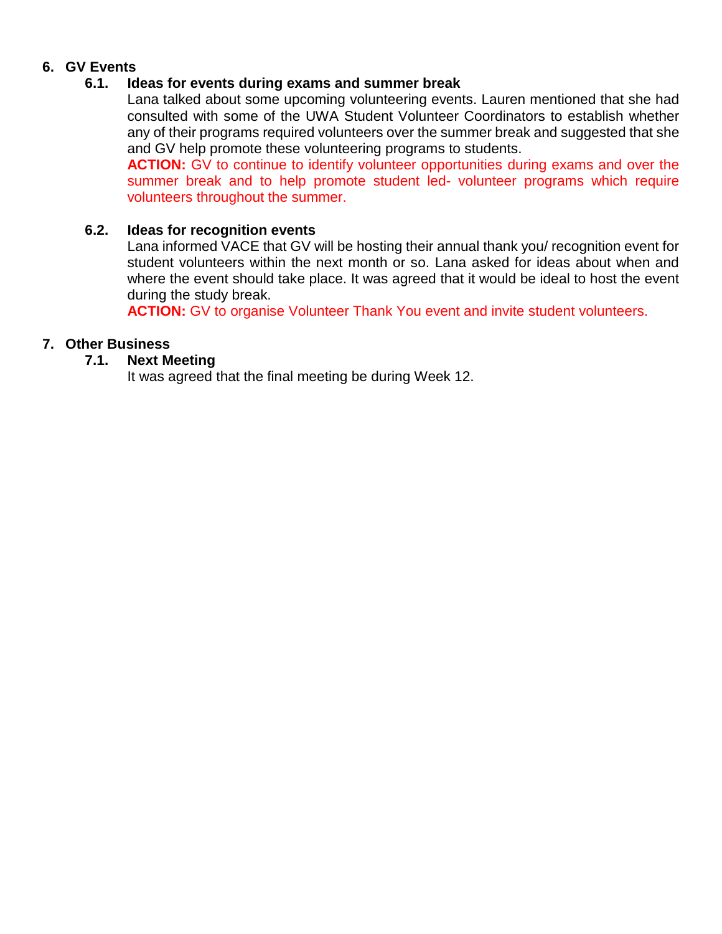# **6. GV Events**

### **6.1. Ideas for events during exams and summer break**

Lana talked about some upcoming volunteering events. Lauren mentioned that she had consulted with some of the UWA Student Volunteer Coordinators to establish whether any of their programs required volunteers over the summer break and suggested that she and GV help promote these volunteering programs to students.

**ACTION:** GV to continue to identify volunteer opportunities during exams and over the summer break and to help promote student led- volunteer programs which require volunteers throughout the summer.

#### **6.2. Ideas for recognition events**

Lana informed VACE that GV will be hosting their annual thank you/ recognition event for student volunteers within the next month or so. Lana asked for ideas about when and where the event should take place. It was agreed that it would be ideal to host the event during the study break.

**ACTION:** GV to organise Volunteer Thank You event and invite student volunteers.

## **7. Other Business**

#### **7.1. Next Meeting**

It was agreed that the final meeting be during Week 12.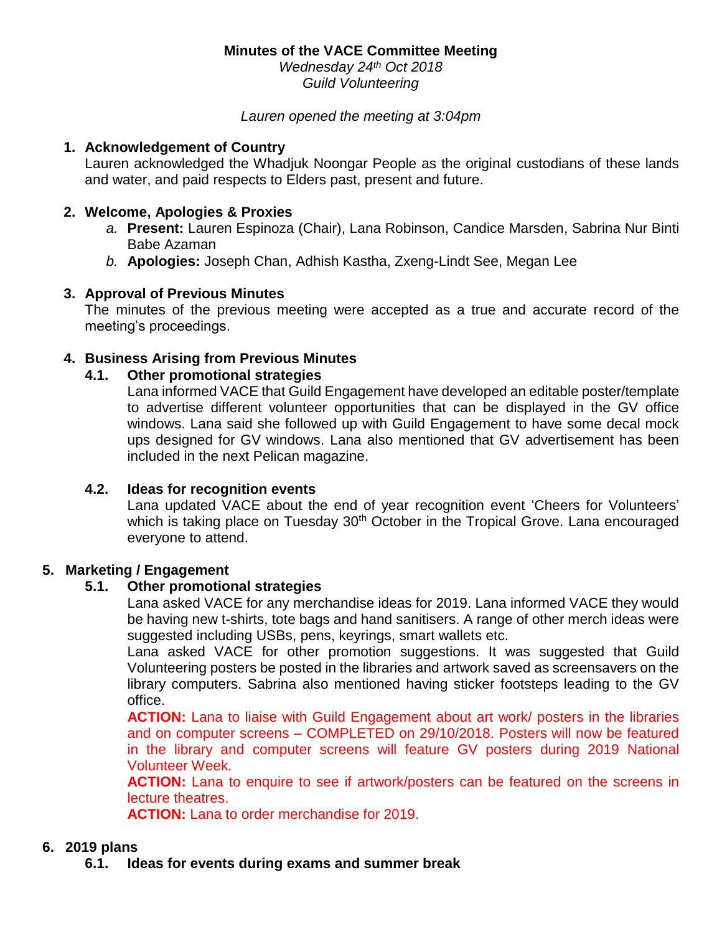*Wednesday 24th Oct 2018 Guild Volunteering*

*Lauren opened the meeting at 3:04pm* 

#### **1. Acknowledgement of Country**

Lauren acknowledged the Whadjuk Noongar People as the original custodians of these lands and water, and paid respects to Elders past, present and future.

# **2. Welcome, Apologies & Proxies**

- *a.* **Present:** Lauren Espinoza (Chair), Lana Robinson, Candice Marsden, Sabrina Nur Binti Babe Azaman
- *b.* **Apologies:** Joseph Chan, Adhish Kastha, Zxeng-Lindt See, Megan Lee

## **3. Approval of Previous Minutes**

The minutes of the previous meeting were accepted as a true and accurate record of the meeting's proceedings.

# **4. Business Arising from Previous Minutes**

## **4.1. Other promotional strategies**

Lana informed VACE that Guild Engagement have developed an editable poster/template to advertise different volunteer opportunities that can be displayed in the GV office windows. Lana said she followed up with Guild Engagement to have some decal mock ups designed for GV windows. Lana also mentioned that GV advertisement has been included in the next Pelican magazine.

## **4.2. Ideas for recognition events**

Lana updated VACE about the end of year recognition event 'Cheers for Volunteers' which is taking place on Tuesday 30<sup>th</sup> October in the Tropical Grove. Lana encouraged everyone to attend.

## **5. Marketing / Engagement**

## **5.1. Other promotional strategies**

Lana asked VACE for any merchandise ideas for 2019. Lana informed VACE they would be having new t-shirts, tote bags and hand sanitisers. A range of other merch ideas were suggested including USBs, pens, keyrings, smart wallets etc.

Lana asked VACE for other promotion suggestions. It was suggested that Guild Volunteering posters be posted in the libraries and artwork saved as screensavers on the library computers. Sabrina also mentioned having sticker footsteps leading to the GV office.

**ACTION:** Lana to liaise with Guild Engagement about art work/ posters in the libraries and on computer screens – COMPLETED on 29/10/2018. Posters will now be featured in the library and computer screens will feature GV posters during 2019 National Volunteer Week.

**ACTION:** Lana to enquire to see if artwork/posters can be featured on the screens in lecture theatres.

**ACTION:** Lana to order merchandise for 2019.

## **6. 2019 plans**

**6.1. Ideas for events during exams and summer break**